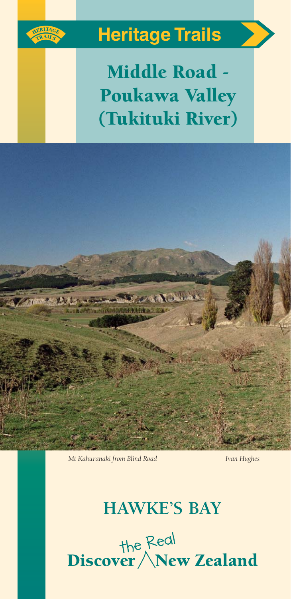

# **Heritage Trails**

Middle Road - Poukawa Valley (Tukituki River)



*Mt Kahuranaki from Blind Road Ivan Hughes*

## **HAWKE'S BAY**

the Redl<br>Discover / New Zealand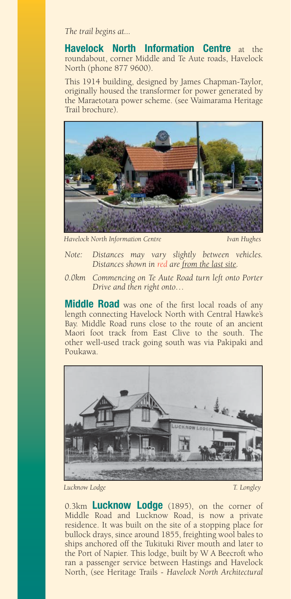*The trail begins at...*

**Havelock North Information Centre** at the roundabout, corner Middle and Te Aute roads, Havelock North (phone 877 9600).

This 1914 building, designed by James Chapman-Taylor, originally housed the transformer for power generated by the Maraetotara power scheme. (see Waimarama Heritage Trail brochure).



*Havelock North Information Centre Ivan Hughes*

- *Note: Distances may vary slightly between vehicles. Distances shown in red are from the last site.*
- *0.0km Commencing on Te Aute Road turn left onto Porter Drive and then right onto…*

**Middle Road** was one of the first local roads of any length connecting Havelock North with Central Hawke's Bay. Middle Road runs close to the route of an ancient Maori foot track from East Clive to the south. The other well-used track going south was via Pakipaki and Poukawa.



*Lucknow Lodge T. Longley*

0.3km **Lucknow Lodge** (1895), on the corner of Middle Road and Lucknow Road, is now a private residence. It was built on the site of a stopping place for bullock drays, since around 1855, freighting wool bales to ships anchored off the Tukituki River mouth and later to the Port of Napier. This lodge, built by W A Beecroft who ran a passenger service between Hastings and Havelock North, (see Heritage Trails - *Havelock North Architectural*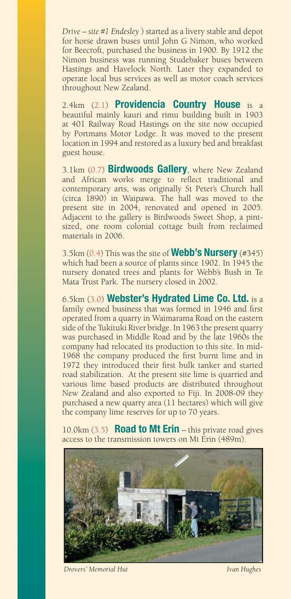*Drive – site #1 Endesley* ) started as a livery stable and depot for horse drawn buses until John G Nimon, who worked for Beecroft, purchased the business in 1900. By 1912 the Nimon business was running Studebaker buses between Hastings and Havelock North. Later they expanded to operate local bus services as well as motor coach services throughout New Zealand.

2.4km (2.1) **Providencia Country House** is a beautiful mainly kauri and rimu building built in 1903 at 401 Railway Road Hastings on the site now occupied by Portmans Motor Lodge. It was moved to the present location in 1994 and restored as a luxury bed and breakfast guest house.

3.1km (0.7) **Birdwoods Gallery**, where New Zealand and African works merge to reflect traditional and contemporary arts, was originally St Peter's Church hall (circa 1890) in Waipawa. The hall was moved to the present site in 2004, renovated and opened in 2005. Adjacent to the gallery is Birdwoods Sweet Shop, a pintsized, one room colonial cottage built from reclaimed materials in 2006.

3.5km (0.4) This was the site of **Webb's Nursery** (#345) which had been a source of plants since 1902. In 1945 the nursery donated trees and plants for Webb's Bush in Te Mata Trust Park. The nursery closed in 2002.

6.5km (3.0) **Webster's Hydrated Lime Co. Ltd.** is a family owned business that was formed in 1946 and first operated from a quarry in Waimarama Road on the eastern side of the Tukituki River bridge. In 1963 the present quarry was purchased in Middle Road and by the late 1960s the company had relocated its production to this site. In mid-1968 the company produced the first burnt lime and in 1972 they introduced their first bulk tanker and started road stabilization. At the present site lime is quarried and various lime based products are distributed throughout New Zealand and also exported to Fiji. In 2008-09 they purchased a new quarry area (11 hectares) which will give the company lime reserves for up to 70 years.

10.0km (3.5) **Road to Mt Erin** – this private road gives access to the transmission towers on Mt Erin (489m).



*Drovers' Memorial Hut Ivan Hughes*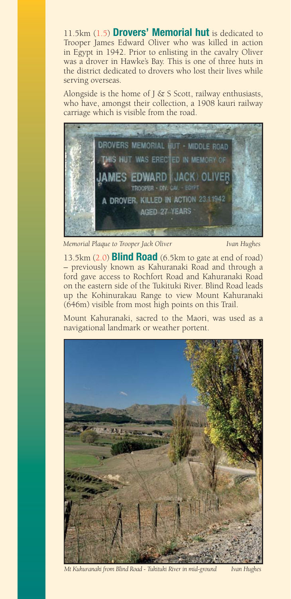11.5km (1.5) **Drovers' Memorial hut** is dedicated to Trooper James Edward Oliver who was killed in action in Egypt in 1942. Prior to enlisting in the cavalry Oliver was a drover in Hawke's Bay. This is one of three huts in the district dedicated to drovers who lost their lives while serving overseas.

Alongside is the home of J & S Scott, railway enthusiasts, who have, amongst their collection, a 1908 kauri railway carriage which is visible from the road.



*Memorial Plaque to Trooper Jack Oliver Ivan Hughes* 

13.5km (2.0) **Blind Road** (6.5km to gate at end of road) – previously known as Kahuranaki Road and through a ford gave access to Rochfort Road and Kahuranaki Road on the eastern side of the Tukituki River. Blind Road leads up the Kohinurakau Range to view Mount Kahuranaki (646m) visible from most high points on this Trail.

Mount Kahuranaki, sacred to the Maori, was used as a navigational landmark or weather portent.



*Mt Kuhuranaki from Blind Road - Tukituki River in mid-ground Ivan Hughes*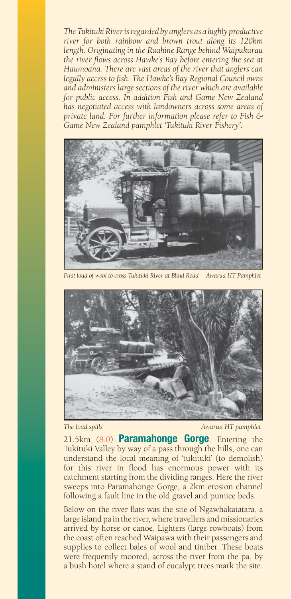*The Tukituki River is regarded by anglers as a highly productive river for both rainbow and brown trout along its 120km length. Originating in the Ruahine Range behind Waipukurau the river flows across Hawke's Bay before entering the sea at Haumoana. There are vast areas of the river that anglers can*  legally access to fish. The Hawke's Bay Regional Council owns *and administers large sections of the river which are available for public access. In addition Fish and Game New Zealand has negotiated access with landowners across some areas of private land. For further information please refer to Fish & Game New Zealand pamphlet 'Tukituki River Fishery'.*



*First load of wool to cross Tukituki River at Blind Road Awarua HT Pamphlet*



*The load spills Awarua HT pamphlet*

21.5km (8.0) **Paramahonge Gorge**. Entering the Tukituki Valley by way of a pass through the hills, one can understand the local meaning of 'tukituki' (to demolish) for this river in flood has enormous power with its catchment starting from the dividing ranges. Here the river sweeps into Paramahonge Gorge, a 2km erosion channel following a fault line in the old gravel and pumice beds.

Below on the river flats was the site of Ngawhakatatara, a large island pa in the river, where travellers and missionaries arrived by horse or canoe. Lighters (large rowboats) from the coast often reached Waipawa with their passengers and supplies to collect bales of wool and timber. These boats were frequently moored, across the river from the pa, by a bush hotel where a stand of eucalypt trees mark the site.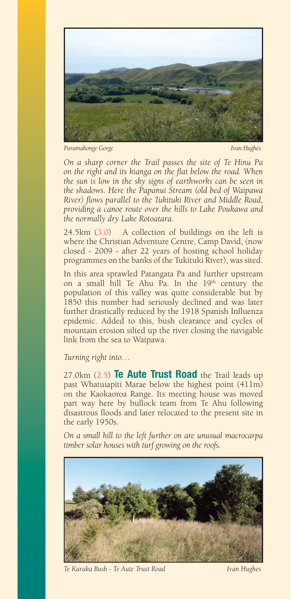

*Paramahonge Gorge Ivan Hughes Ivan Hughes* 

*On a sharp corner the Trail passes the site of Te Hinu Pa on the right and its kianga on the flat below the road. When the sun is low in the sky signs of earthworks can be seen in the shadows. Here the Papanui Stream (old bed of Waipawa River)* flows parallel to the Tukituki River and Middle Road, *providing a canoe route over the hills to Lake Poukawa and the normally dry Lake Rotoatara.*

24.5km (3.0) A collection of buildings on the left is where the Christian Adventure Centre, Camp David, (now closed - 2009 - after 22 years of hosting school holiday programmes on the banks of the Tukituki River), was sited.

In this area sprawled Patangata Pa and further upstream on a small hill Te Ahu Pa. In the 19<sup>th</sup> century the population of this valley was quite considerable but by 1850 this number had seriously declined and was later further drastically reduced by the 1918 Spanish Influenza epidemic. Added to this, bush clearance and cycles of mountain erosion silted up the river closing the navigable link from the sea to Waipawa.

*Turning right into…*

27.0km (2.5) **Te Aute Trust Road** the Trail leads up past Whatuiapiti Marae below the highest point (411m) on the Kaokaoroa Range. Its meeting house was moved part way here by bullock team from Te Ahu following disastrous floods and later relocated to the present site in the early 1950s.

*On a small hill to the left further on are unusual macrocarpa timber solar houses with turf growing on the roofs.*



*Te Karaka Bush - Te Aute Trust Road Ivan Hughes*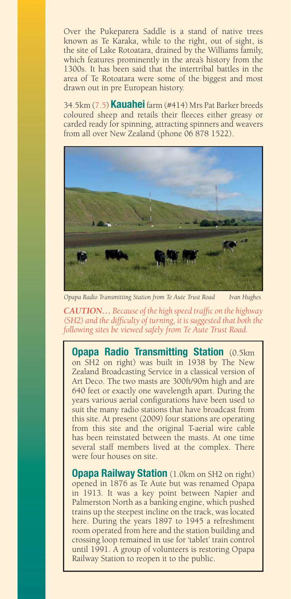Over the Pukeparera Saddle is a stand of native trees known as Te Karaka, while to the right, out of sight, is the site of Lake Rotoatara, drained by the Williams family, which features prominently in the area's history from the 1300s. It has been said that the intertribal battles in the area of Te Rotoatara were some of the biggest and most drawn out in pre European history.

34.5km (7.5) **Kauahei** farm (#414) Mrs Pat Barker breeds coloured sheep and retails their fleeces either greasy or carded ready for spinning, attracting spinners and weavers from all over New Zealand (phone 06 878 1522).



*Opapa Radio Transmitting Station from Te Aute Trust Road Ivan Hughes*

*CAUTION...* Because of the high speed traffic on the highway *(SH2) and the difficulty of turning, it is suggested that both the following sites be viewed safely from Te Aute Trust Road.* 

**Opapa Radio Transmitting Station** (0.5km on SH2 on right) was built in 1938 by The New Zealand Broadcasting Service in a classical version of Art Deco. The two masts are 300ft/90m high and are 640 feet or exactly one wavelength apart. During the years various aerial configurations have been used to suit the many radio stations that have broadcast from this site. At present (2009) four stations are operating from this site and the original T-aerial wire cable has been reinstated between the masts. At one time several staff members lived at the complex. There were four houses on site.

**Opapa Railway Station** (1.0km on SH2 on right) opened in 1876 as Te Aute but was renamed Opapa in 1913. It was a key point between Napier and Palmerston North as a banking engine, which pushed trains up the steepest incline on the track, was located here. During the years 1897 to 1945 a refreshment room operated from here and the station building and crossing loop remained in use for 'tablet' train control until 1991. A group of volunteers is restoring Opapa Railway Station to reopen it to the public.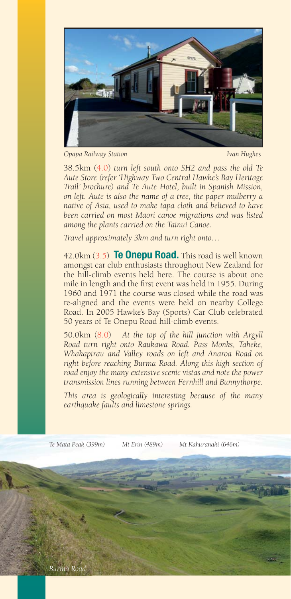

*Opapa Railway Station Ivan Hughes*

38.5km (4.0) *turn left south onto SH2 and pass the old Te Aute Store (refer 'Highway Two Central Hawke's Bay Heritage Trail' brochure) and Te Aute Hotel, built in Spanish Mission, on left. Aute is also the name of a tree, the paper mulberry a native of Asia, used to make tapa cloth and believed to have been carried on most Maori canoe migrations and was listed among the plants carried on the Tainui Canoe.*

*Travel approximately 3km and turn right onto…*

42.0km (3.5) **Te Onepu Road.** This road is well known amongst car club enthusiasts throughout New Zealand for the hill-climb events held here. The course is about one mile in length and the first event was held in 1955. During 1960 and 1971 the course was closed while the road was re-aligned and the events were held on nearby College Road. In 2005 Hawke's Bay (Sports) Car Club celebrated 50 years of Te Onepu Road hill-climb events.

50.0km (8.0) *At the top of the hill junction with Argyll Road turn right onto Raukawa Road. Pass Monks, Taheke, Whakapirau and Valley roads on left and Anaroa Road on right before reaching Burma Road. Along this high section of road enjoy the many extensive scenic vistas and note the power transmission lines running between Fernhill and Bunnythorpe.* 

*This area is geologically interesting because of the many earthquake faults and limestone springs.* 

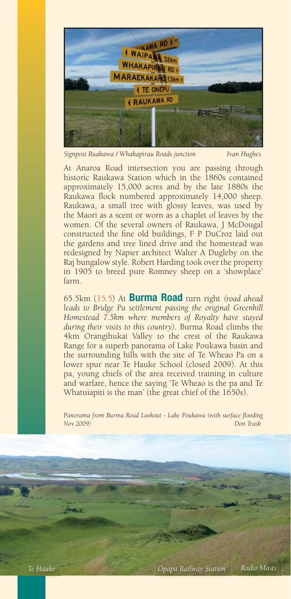

*Signpost Ruakawa / Whakapirau Roads junction Ivan Hughes*

At Anaroa Road intersection you are passing through historic Raukawa Station which in the 1860s contained approximately 15,000 acres and by the late 1880s the Raukawa flock numbered approximately 14,000 sheep. Raukawa, a small tree with glossy leaves, was used by the Maori as a scent or worn as a chaplet of leaves by the women. Of the several owners of Raukawa, J McDougal constructed the fine old buildings, F P DuCroz laid out the gardens and tree lined drive and the homestead was redesigned by Napier architect Walter A Dugleby on the Raj bungalow style. Robert Harding took over the property in 1905 to breed pure Romney sheep on a 'showplace' farm.

65.5km (15.5) At **Burma Road** turn right *(road ahead leads to Bridge Pa settlement passing the original Greenhill Homestead 7.5km where members of Royalty have stayed during their visits to this country).* Burma Road climbs the 4km Orangihukai Valley to the crest of the Raukawa Range for a superb panorama of Lake Poukawa basin and the surrounding hills with the site of Te Wheao Pa on a lower spur near Te Hauke School (closed 2009). At this pa, young chiefs of the area received training in culture and warfare, hence the saying 'Te Wheao is the pa and Te Whatuiapiti is the man' (the great chief of the 1650s).

*Panorama from Burma Road Lookout - Lake Poukawa (with surface flooding Nov 2009) Nov 2009*)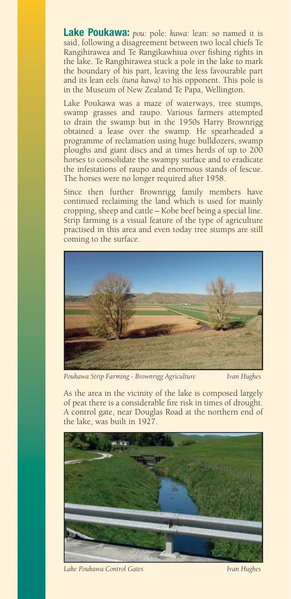**Lake Poukawa:** *pou:* pole: *kawa:* lean: so named it is said, following a disagreement between two local chiefs Te Rangihirawea and Te Rangikawhiua over fishing rights in the lake. Te Rangihirawea stuck a pole in the lake to mark the boundary of his part, leaving the less favourable part and its lean eels *(tuna kawa)* to his opponent. This pole is in the Museum of New Zealand Te Papa, Wellington.

Lake Poukawa was a maze of waterways, tree stumps, swamp grasses and raupo. Various farmers attempted to drain the swamp but in the 1950s Harry Brownrigg obtained a lease over the swamp. He spearheaded a programme of reclamation using huge bulldozers, swamp ploughs and giant discs and at times herds of up to 200 horses to consolidate the swampy surface and to eradicate the infestations of raupo and enormous stands of fescue. The horses were no longer required after 1958.

Since then further Brownrigg family members have continued reclaiming the land which is used for mainly cropping, sheep and cattle – Kobe beef being a special line. Strip farming is a visual feature of the type of agriculture practised in this area and even today tree stumps are still coming to the surface.



*Poukawa Strip Farming - Brownrigg Agriculture Ivan Hughes*

As the area in the vicinity of the lake is composed largely of peat there is a considerable fire risk in times of drought. A control gate, near Douglas Road at the northern end of the lake, was built in 1927.



*Lake Poukawa Control Gates Ivan Hughes*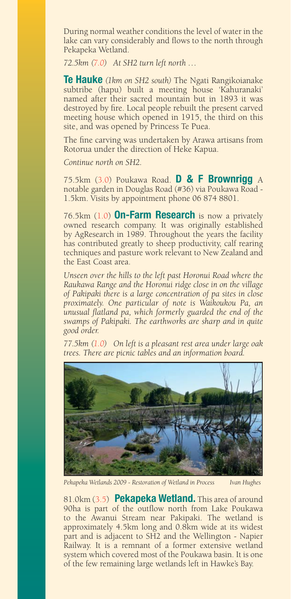During normal weather conditions the level of water in the lake can vary considerably and flows to the north through Pekapeka Wetland.

*72.5km (7.0) At SH2 turn left north …*

**Te Hauke** *(1km on SH2 south)* The Ngati Rangikoianake subtribe (hapu) built a meeting house 'Kahuranaki' named after their sacred mountain but in 1893 it was destroyed by fire. Local people rebuilt the present carved meeting house which opened in 1915, the third on this site, and was opened by Princess Te Puea.

The fine carving was undertaken by Arawa artisans from Rotorua under the direction of Heke Kapua.

*Continue north on SH2.*

75.5km (3.0) Poukawa Road. **D & F Brownrigg** A notable garden in Douglas Road (#36) via Poukawa Road - 1.5km. Visits by appointment phone 06 874 8801.

76.5km (1.0) **On-Farm Research** is now a privately owned research company. It was originally established by AgResearch in 1989. Throughout the years the facility has contributed greatly to sheep productivity, calf rearing techniques and pasture work relevant to New Zealand and the East Coast area.

*Unseen over the hills to the left past Horonui Road where the Raukawa Range and the Horonui ridge close in on the village of Pakipaki there is a large concentration of pa sites in close proximately. One particular of note is Waikoukou Pa, an unusual fl atland pa, which formerly guarded the end of the swamps of Pakipaki. The earthworks are sharp and in quite good order.* 

*77.5km (1.0) On left is a pleasant rest area under large oak trees. There are picnic tables and an information board.* 



*Pekapeka Wetlands 2009 - Restoration of Wetland in Process Ivan Hughes*

81.0km (3.5) **Pekapeka Wetland.** This area of around 90ha is part of the outflow north from Lake Poukawa to the Awanui Stream near Pakipaki. The wetland is approximately 4.5km long and 0.8km wide at its widest part and is adjacent to SH2 and the Wellington - Napier Railway. It is a remnant of a former extensive wetland system which covered most of the Poukawa basin. It is one of the few remaining large wetlands left in Hawke's Bay.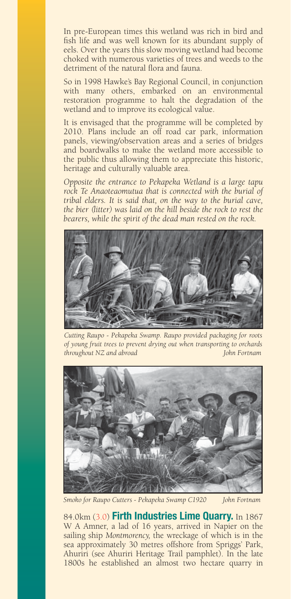In pre-European times this wetland was rich in bird and fish life and was well known for its abundant supply of eels. Over the years this slow moving wetland had become choked with numerous varieties of trees and weeds to the detriment of the natural flora and fauna.

So in 1998 Hawke's Bay Regional Council, in conjunction with many others, embarked on an environmental restoration programme to halt the degradation of the wetland and to improve its ecological value.

It is envisaged that the programme will be completed by 2010. Plans include an off road car park, information panels, viewing/observation areas and a series of bridges and boardwalks to make the wetland more accessible to the public thus allowing them to appreciate this historic, heritage and culturally valuable area.

*Opposite the entrance to Pekapeka Wetland is a large tapu*  rock Te Anaoteaomutua that is connected with the burial of *tribal elders. It is said that, on the way to the burial cave, the bier (litter) was laid on the hill beside the rock to rest the bearers, while the spirit of the dead man rested on the rock.*



*Cutting Raupo - Pekapeka Swamp. Raupo provided packaging for roots of young fruit trees to prevent drying out when transporting to orchards throughout NZ and abroad* 



*Smoko for Raupo Cutters - Pekapeka Swamp C1920 John Fortnam*

84.0km (3.0) **Firth Industries Lime Quarry.** In 1867 W A Amner, a lad of 16 years, arrived in Napier on the sailing ship *Montmorency,* the wreckage of which is in the sea approximately 30 metres offshore from Spriggs' Park, Ahuriri (see Ahuriri Heritage Trail pamphlet). In the late 1800s he established an almost two hectare quarry in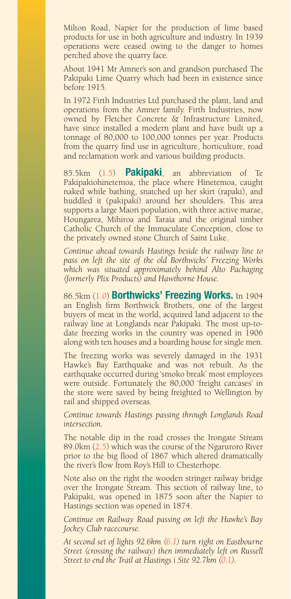Milton Road, Napier for the production of lime based products for use in both agriculture and industry. In 1939 operations were ceased owing to the danger to homes perched above the quarry face.

About 1941 Mr Amner's son and grandson purchased The Pakipaki Lime Quarry which had been in existence since before 1915.

In 1972 Firth Industries Ltd purchased the plant, land and operations from the Amner family. Firth Industries, now owned by Fletcher Concrete & Infrastructure Limited, have since installed a modern plant and have built up a tonnage of 80,000 to 100,000 tonnes per year. Products from the quarry find use in agriculture, horticulture, road and reclamation work and various building products.

85.5km (1.5) **Pakipaki**, an abbreviation of Te Pakipakiohinetemoa, the place where Hinetemoa, caught naked while bathing, snatched up her skirt (rapaki), and huddled it (pakipaki) around her shoulders. This area supports a large Maori population, with three active marae, Houngarea, Mihiroa and Taraia and the original timber Catholic Church of the Immaculate Conception, close to the privately owned stone Church of Saint Luke.

*Continue ahead towards Hastings beside the railway line to pass on left the site of the old Borthwicks' Freezing Works which was situated approximately behind Alto Packaging (formerly Plix Products) and Hawthorne House.*

86.5km (1.0) **Borthwicks' Freezing Works.** In 1904 an English firm Borthwick Brothers, one of the largest buyers of meat in the world, acquired land adjacent to the railway line at Longlands near Pakipaki. The most up-todate freezing works in the country was opened in 1906 along with ten houses and a boarding house for single men.

The freezing works was severely damaged in the 1931 Hawke's Bay Earthquake and was not rebuilt. As the earthquake occurred during 'smoko break' most employees were outside. Fortunately the 80,000 'freight carcases' in the store were saved by being freighted to Wellington by rail and shipped overseas.

*Continue towards Hastings passing through Longlands Road intersection.*

The notable dip in the road crosses the Irongate Stream 89.0km (2.5) which was the course of the Ngaruroro River prior to the big flood of 1867 which altered dramatically the river's flow from Roy's Hill to Chesterhope.

Note also on the right the wooden stringer railway bridge over the Irongate Stream. This section of railway line, to Pakipaki, was opened in 1875 soon after the Napier to Hastings section was opened in 1874.

*Continue on Railway Road passing on left the Hawke's Bay Jockey Club racecourse.*

*At second set of lights 92.6km (6.1) turn right on Eastbourne Street (crossing the railway) then immediately left on Russell Street to end the Trail at Hastings i Site 92.7km (0.1).*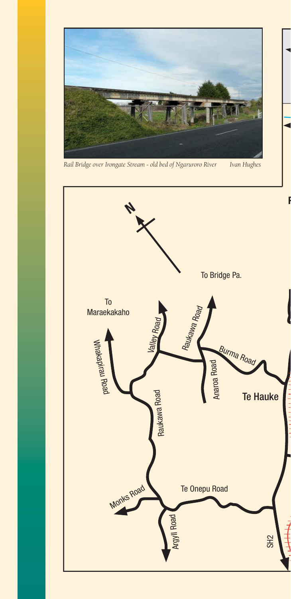

*Rail Bridge over Irongate Stream - old bed of Ngaruroro River Ivan Hughes*

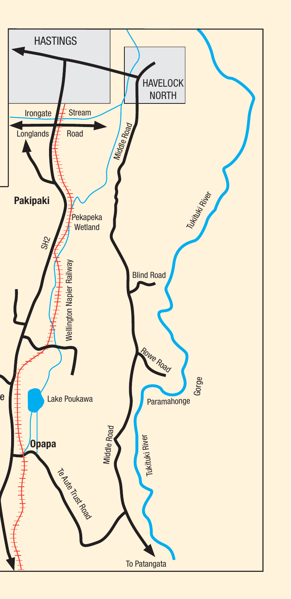